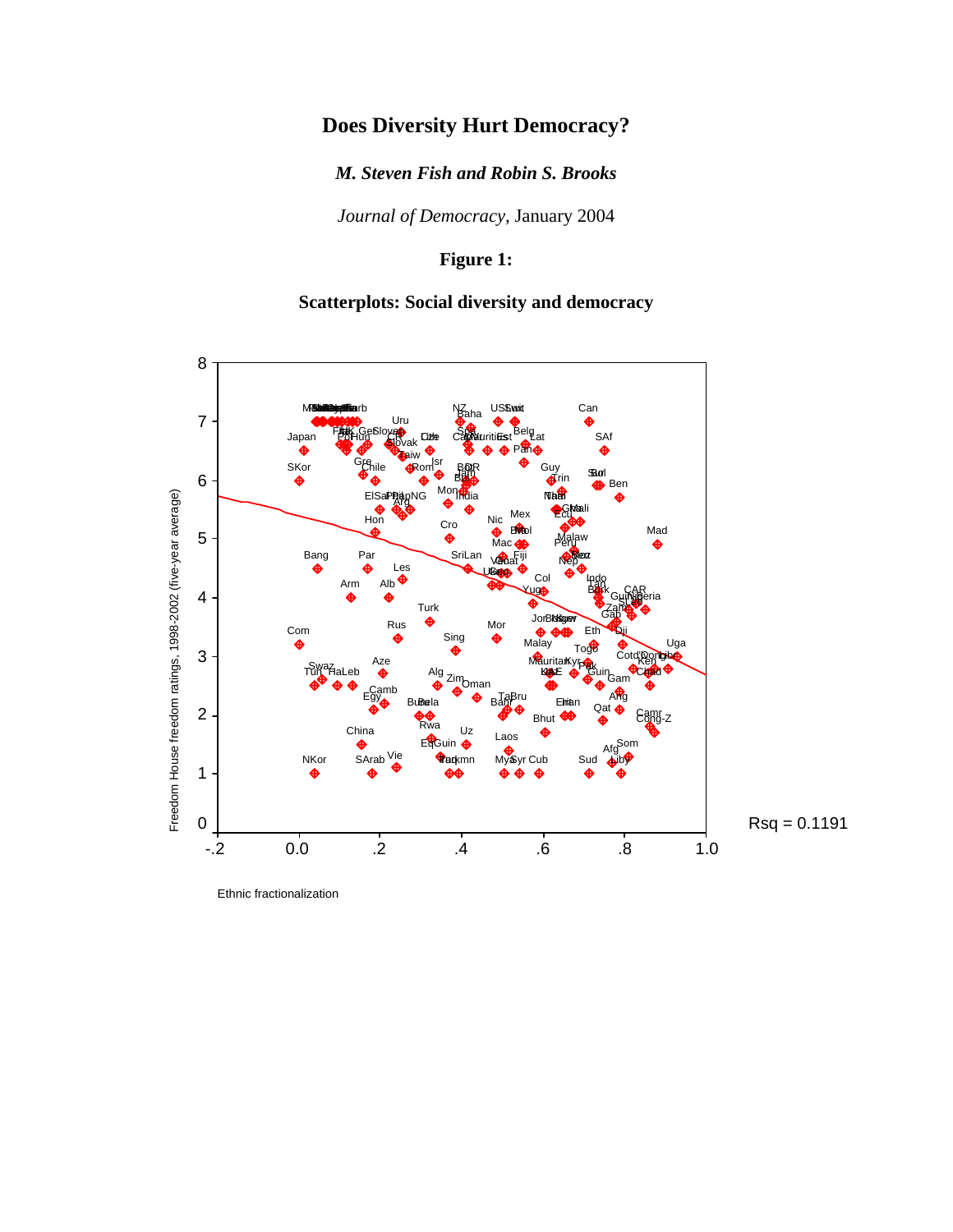## **Does Diversity Hurt Democracy?**

*M. Steven Fish and Robin S. Brooks* 

*Journal of Democracy,* January 2004

## **Figure 1:**

## **Scatterplots: Social diversity and democracy**



Ethnic fractionalization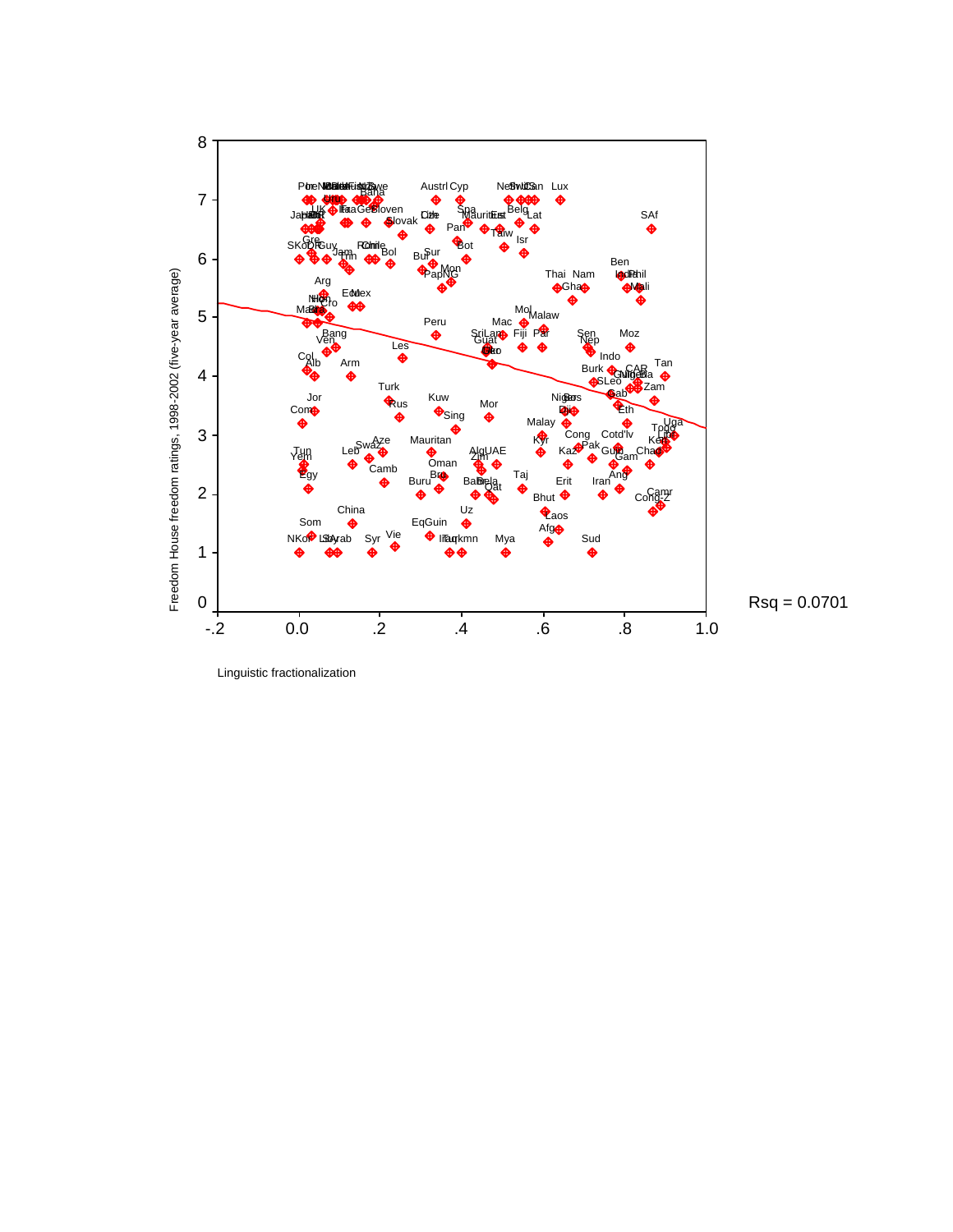

Linguistic fractionalization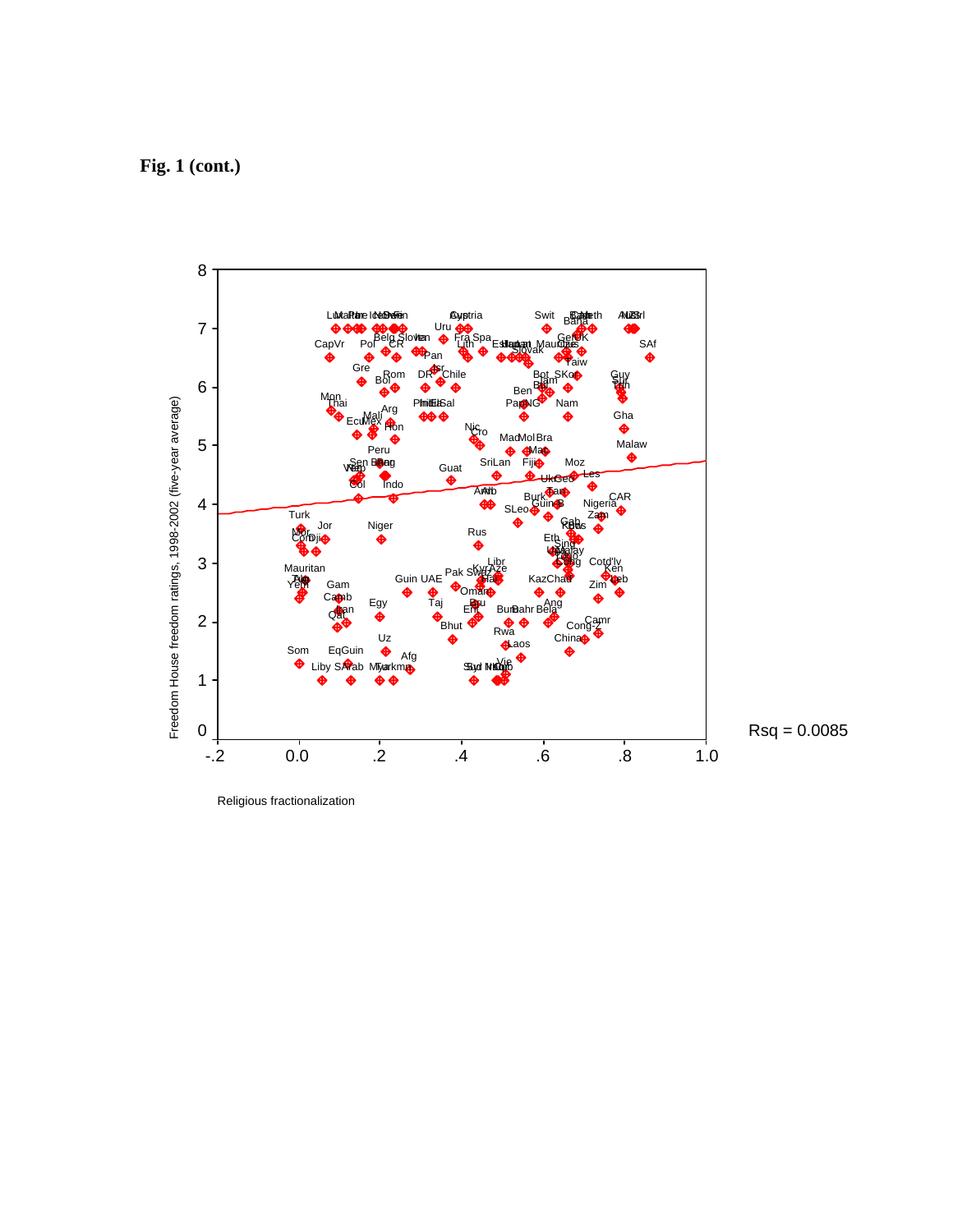**Fig. 1 (cont.)** 



Religious fractionalization